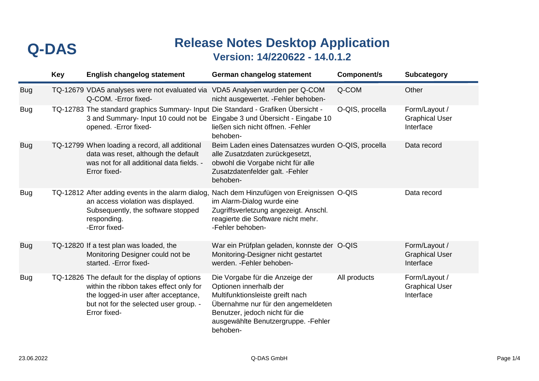|            | <b>Key</b> | <b>English changelog statement</b>                                                                                                                                                           | German changelog statement                                                                                                                                                                                                | Component/s     | <b>Subcategory</b>                                  |
|------------|------------|----------------------------------------------------------------------------------------------------------------------------------------------------------------------------------------------|---------------------------------------------------------------------------------------------------------------------------------------------------------------------------------------------------------------------------|-----------------|-----------------------------------------------------|
| <b>Bug</b> |            | TQ-12679 VDA5 analyses were not evaluated via<br>Q-COM. - Error fixed-                                                                                                                       | VDA5 Analysen wurden per Q-COM<br>nicht ausgewertet. - Fehler behoben-                                                                                                                                                    | Q-COM           | Other                                               |
| <b>Bug</b> |            | TQ-12783 The standard graphics Summary- Input Die Standard - Grafiken Übersicht -<br>3 and Summary- Input 10 could not be<br>opened. - Error fixed-                                          | Eingabe 3 und Übersicht - Eingabe 10<br>ließen sich nicht öffnen. - Fehler<br>behoben-                                                                                                                                    | O-QIS, procella | Form/Layout /<br><b>Graphical User</b><br>Interface |
| <b>Bug</b> |            | TQ-12799 When loading a record, all additional<br>data was reset, although the default<br>was not for all additional data fields. -<br>Error fixed-                                          | Beim Laden eines Datensatzes wurden O-QIS, procella<br>alle Zusatzdaten zurückgesetzt,<br>obwohl die Vorgabe nicht für alle<br>Zusatzdatenfelder galt. - Fehler<br>behoben-                                               |                 | Data record                                         |
| <b>Bug</b> |            | TQ-12812 After adding events in the alarm dialog,<br>an access violation was displayed.<br>Subsequently, the software stopped<br>responding.<br>-Error fixed-                                | Nach dem Hinzufügen von Ereignissen O-QIS<br>im Alarm-Dialog wurde eine<br>Zugriffsverletzung angezeigt. Anschl.<br>reagierte die Software nicht mehr.<br>-Fehler behoben-                                                |                 | Data record                                         |
| <b>Bug</b> |            | TQ-12820 If a test plan was loaded, the<br>Monitoring Designer could not be<br>started. - Error fixed-                                                                                       | War ein Prüfplan geladen, konnste der O-QIS<br>Monitoring-Designer nicht gestartet<br>werden. - Fehler behoben-                                                                                                           |                 | Form/Layout /<br><b>Graphical User</b><br>Interface |
| <b>Bug</b> |            | TQ-12826 The default for the display of options<br>within the ribbon takes effect only for<br>the logged-in user after acceptance,<br>but not for the selected user group. -<br>Error fixed- | Die Vorgabe für die Anzeige der<br>Optionen innerhalb der<br>Multifunktionsleiste greift nach<br>Übernahme nur für den angemeldeten<br>Benutzer, jedoch nicht für die<br>ausgewählte Benutzergruppe. - Fehler<br>behoben- | All products    | Form/Layout /<br><b>Graphical User</b><br>Interface |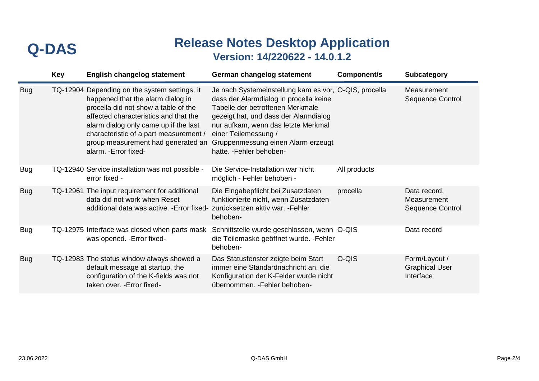|            | <b>Key</b> | <b>English changelog statement</b>                                                                                                                                                                                                                                                                                    | German changelog statement                                                                                                                                                                                                                                                                                    | Component/s  | <b>Subcategory</b>                                  |
|------------|------------|-----------------------------------------------------------------------------------------------------------------------------------------------------------------------------------------------------------------------------------------------------------------------------------------------------------------------|---------------------------------------------------------------------------------------------------------------------------------------------------------------------------------------------------------------------------------------------------------------------------------------------------------------|--------------|-----------------------------------------------------|
| <b>Bug</b> |            | TQ-12904 Depending on the system settings, it<br>happened that the alarm dialog in<br>procella did not show a table of the<br>affected characteristics and that the<br>alarm dialog only came up if the last<br>characteristic of a part measurement /<br>group measurement had generated an<br>alarm. - Error fixed- | Je nach Systemeinstellung kam es vor, O-QIS, procella<br>dass der Alarmdialog in procella keine<br>Tabelle der betroffenen Merkmale<br>gezeigt hat, und dass der Alarmdialog<br>nur aufkam, wenn das letzte Merkmal<br>einer Teilemessung /<br>Gruppenmessung einen Alarm erzeugt<br>hatte. - Fehler behoben- |              | Measurement<br>Sequence Control                     |
| <b>Bug</b> |            | TQ-12940 Service installation was not possible -<br>error fixed -                                                                                                                                                                                                                                                     | Die Service-Installation war nicht<br>möglich - Fehler behoben -                                                                                                                                                                                                                                              | All products |                                                     |
| <b>Bug</b> |            | TQ-12961 The input requirement for additional<br>data did not work when Reset<br>additional data was active. - Error fixed- zurücksetzen aktiv war. - Fehler                                                                                                                                                          | Die Eingabepflicht bei Zusatzdaten<br>funktionierte nicht, wenn Zusatzdaten<br>behoben-                                                                                                                                                                                                                       | procella     | Data record,<br>Measurement<br>Sequence Control     |
| <b>Bug</b> |            | TQ-12975 Interface was closed when parts mask<br>was opened. - Error fixed-                                                                                                                                                                                                                                           | Schnittstelle wurde geschlossen, wenn O-QIS<br>die Teilemaske geöffnet wurde. - Fehler<br>behoben-                                                                                                                                                                                                            |              | Data record                                         |
| <b>Bug</b> |            | TQ-12983 The status window always showed a<br>default message at startup, the<br>configuration of the K-fields was not<br>taken over. - Error fixed-                                                                                                                                                                  | Das Statusfenster zeigte beim Start<br>immer eine Standardnachricht an, die<br>Konfiguration der K-Felder wurde nicht<br>übernommen. - Fehler behoben-                                                                                                                                                        | O-QIS        | Form/Layout /<br><b>Graphical User</b><br>Interface |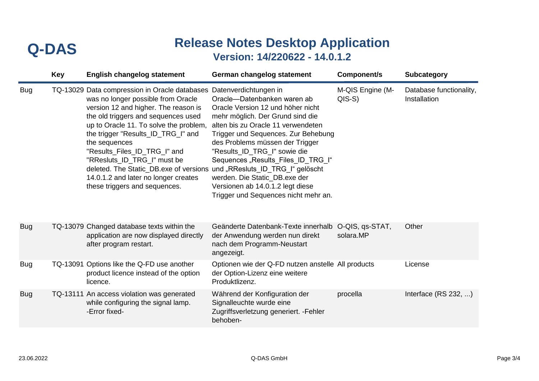|            | <b>Key</b> | <b>English changelog statement</b>                                                                                                                                                                                                                                                                                                                                                                                                                                                                           | German changelog statement                                                                                                                                                                                                                                                                                                                                                                              | Component/s                  | <b>Subcategory</b>                      |
|------------|------------|--------------------------------------------------------------------------------------------------------------------------------------------------------------------------------------------------------------------------------------------------------------------------------------------------------------------------------------------------------------------------------------------------------------------------------------------------------------------------------------------------------------|---------------------------------------------------------------------------------------------------------------------------------------------------------------------------------------------------------------------------------------------------------------------------------------------------------------------------------------------------------------------------------------------------------|------------------------------|-----------------------------------------|
| <b>Bug</b> |            | TQ-13029 Data compression in Oracle databases Datenverdichtungen in<br>was no longer possible from Oracle<br>version 12 and higher. The reason is<br>the old triggers and sequences used<br>up to Oracle 11. To solve the problem,<br>the trigger "Results_ID_TRG_I" and<br>the sequences<br>"Results_Files_ID_TRG_I" and<br>"RResluts_ID_TRG_I" must be<br>deleted. The Static_DB.exe of versions und "RResluts_ID_TRG_I" gelöscht<br>14.0.1.2 and later no longer creates<br>these triggers and sequences. | Oracle-Datenbanken waren ab<br>Oracle Version 12 und höher nicht<br>mehr möglich. Der Grund sind die<br>alten bis zu Oracle 11 verwendeten<br>Trigger und Sequences. Zur Behebung<br>des Problems müssen der Trigger<br>"Results_ID_TRG_I" sowie die<br>Sequences "Results_Files_ID_TRG_I"<br>werden. Die Static DB.exe der<br>Versionen ab 14.0.1.2 legt diese<br>Trigger und Sequences nicht mehr an. | M-QIS Engine (M-<br>$QIS-S$  | Database functionality,<br>Installation |
| <b>Bug</b> |            | TQ-13079 Changed database texts within the<br>application are now displayed directly<br>after program restart.                                                                                                                                                                                                                                                                                                                                                                                               | Geänderte Datenbank-Texte innerhalb<br>der Anwendung werden nun direkt<br>nach dem Programm-Neustart<br>angezeigt.                                                                                                                                                                                                                                                                                      | O-QIS, qs-STAT,<br>solara.MP | Other                                   |
| <b>Bug</b> |            | TQ-13091 Options like the Q-FD use another<br>product licence instead of the option<br>licence.                                                                                                                                                                                                                                                                                                                                                                                                              | Optionen wie der Q-FD nutzen anstelle All products<br>der Option-Lizenz eine weitere<br>Produktlizenz.                                                                                                                                                                                                                                                                                                  |                              | License                                 |
| <b>Bug</b> |            | TQ-13111 An access violation was generated<br>while configuring the signal lamp.<br>-Error fixed-                                                                                                                                                                                                                                                                                                                                                                                                            | Während der Konfiguration der<br>Signalleuchte wurde eine<br>Zugriffsverletzung generiert. - Fehler<br>behoben-                                                                                                                                                                                                                                                                                         | procella                     | Interface $(RS 232, )$                  |